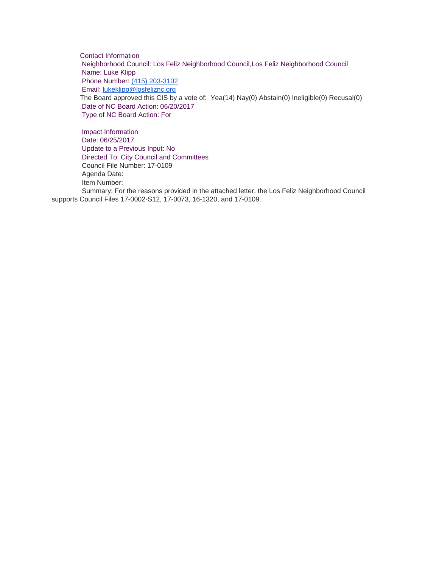Contact Information Neighborhood Council: Los Feliz Neighborhood Council,Los Feliz Neighborhood Council Name: Luke Klipp Phone Number: [\(415\) 203-3102](tel:%28415%29%20203-3102) Email: [lukeklipp@losfeliznc.org](mailto:lukeklipp@losfeliznc.org) The Board approved this CIS by a vote of: Yea(14) Nay(0) Abstain(0) Ineligible(0) Recusal(0) Date of NC Board Action: 06/20/2017 Type of NC Board Action: For

Impact Information Date: 06/25/2017 Update to a Previous Input: No Directed To: City Council and Committees Council File Number: 17-0109 Agenda Date: Item Number: Summary: For the reasons provided in the attached letter, the Los Feliz Neighborhood Council supports Council Files 17-0002-S12, 17-0073, 16-1320, and 17-0109.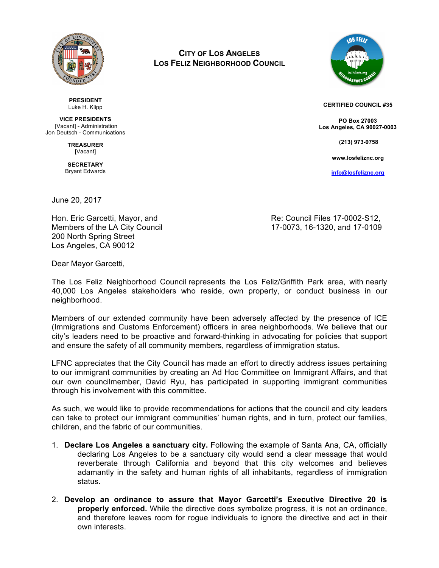

**PRESIDENT** Luke H. Klipp

**VICE PRESIDENTS** [Vacant] - Administration Jon Deutsch - Communications

> **TREASURER** [Vacant]

**SECRETARY** Bryant Edwards

**CITY OF LOS ANGELES LOS FELIZ NEIGHBORHOOD COUNCIL**



**CERTIFIED COUNCIL #35**

**PO Box 27003 Los Angeles, CA 90027-0003**

 **(213) 973-9758**

**www.losfeliznc.org**

**info@losfeliznc.org**

June 20, 2017

200 North Spring Street Los Angeles, CA 90012

Hon. Eric Garcetti, Mayor, and The Resolution of Re: Council Files 17-0002-S12, Members of the LA City Council 17-0073, 16-1320, and 17-0109

Dear Mayor Garcetti,

The Los Feliz Neighborhood Council represents the Los Feliz/Griffith Park area, with nearly 40,000 Los Angeles stakeholders who reside, own property, or conduct business in our neighborhood.

Members of our extended community have been adversely affected by the presence of ICE (Immigrations and Customs Enforcement) officers in area neighborhoods. We believe that our city's leaders need to be proactive and forward-thinking in advocating for policies that support and ensure the safety of all community members, regardless of immigration status.

LFNC appreciates that the City Council has made an effort to directly address issues pertaining to our immigrant communities by creating an Ad Hoc Committee on Immigrant Affairs, and that our own councilmember, David Ryu, has participated in supporting immigrant communities through his involvement with this committee.

As such, we would like to provide recommendations for actions that the council and city leaders can take to protect our immigrant communities' human rights, and in turn, protect our families, children, and the fabric of our communities.

- 1. **Declare Los Angeles a sanctuary city.** Following the example of Santa Ana, CA, officially declaring Los Angeles to be a sanctuary city would send a clear message that would reverberate through California and beyond that this city welcomes and believes adamantly in the safety and human rights of all inhabitants, regardless of immigration status.
- 2. **Develop an ordinance to assure that Mayor Garcetti's Executive Directive 20 is properly enforced.** While the directive does symbolize progress, it is not an ordinance, and therefore leaves room for rogue individuals to ignore the directive and act in their own interests.